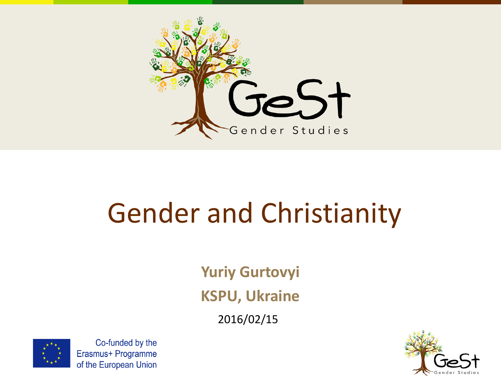

#### Gender and Christianity

**Yuriy Gurtovyi KSPU, Ukraine**

2016/02/15



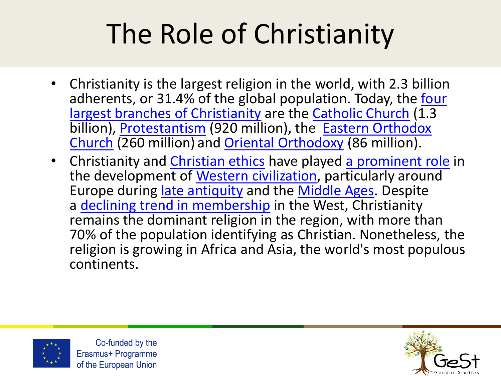# The Role of Christianity

- Christianity is the largest religion in the world, with 2.3 billion [adherents, or 31.4% of the global population. Today, the four](https://en.wikipedia.org/wiki/List_of_Christian_denominations_by_number_of_members) largest branches of Christianity are the [Catholic Church](https://en.wikipedia.org/wiki/Catholic_Church)  $(1.3)$ billion), [Protestantism](https://en.wikipedia.org/wiki/Protestantism) (920 million), the Eastern Orthodox Church (260 million) [and Oriental Orthodoxy](https://en.wikipedia.org/wiki/Eastern_Orthodox_Church) (86 million).
- Christianity and [Christian ethics](https://en.wikipedia.org/wiki/Christian_ethics) have played [a prominent role](https://en.wikipedia.org/wiki/Role_of_Christianity_in_civilization) in the development of [Western civilization,](https://en.wikipedia.org/wiki/Western_civilization) particularly around Europe during [late antiquity](https://en.wikipedia.org/wiki/Late_antiquity) and the [Middle Ages.](https://en.wikipedia.org/wiki/Middle_Ages) Despite a [declining trend in membership](https://en.wikipedia.org/wiki/Decline_of_Christianity) in the West, Christianity remains the dominant religion in the region, with more than 70% of the population identifying as Christian. Nonetheless, the religion is growing in Africa and Asia, the world's most populous continents.



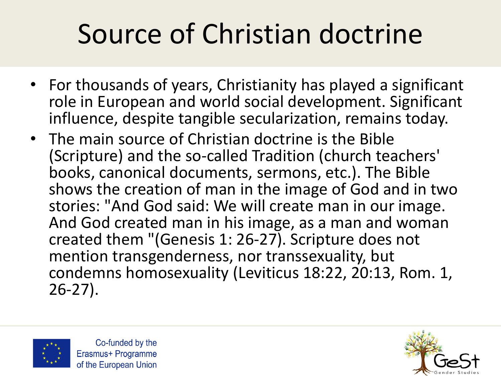# Source of Christian doctrine

- For thousands of years, Christianity has played a significant role in European and world social development. Significant influence, despite tangible secularization, remains today.
- The main source of Christian doctrine is the Bible (Scripture) and the so-called Tradition (church teachers' books, canonical documents, sermons, etc.). The Bible shows the creation of man in the image of God and in two stories: "And God said: We will create man in our image. And God created man in his image, as a man and woman created them "(Genesis 1: 26-27). Scripture does not mention transgenderness, nor transsexuality, but condemns homosexuality (Leviticus 18:22, 20:13, Rom. 1, 26-27).



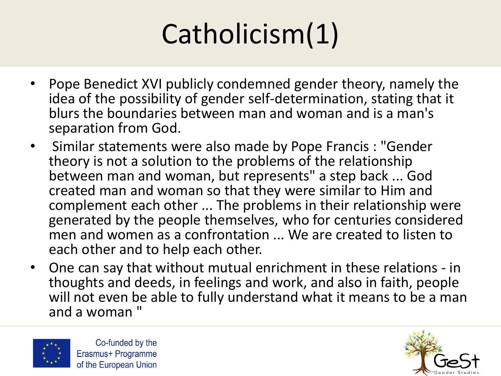## Catholicism(1)

- Pope Benedict XVI publicly condemned gender theory, namely the idea of the possibility of gender self-determination, stating that it blurs the boundaries between man and woman and is a man's separation from God.
- Similar statements were also made by Pope Francis : "Gender theory is not a solution to the problems of the relationship between man and woman, but represents" a step back ... God created man and woman so that they were similar to Him and complement each other ... The problems in their relationship were generated by the people themselves, who for centuries considered men and women as a confrontation ... We are created to listen to each other and to help each other.
- One can say that without mutual enrichment in these relations in thoughts and deeds, in feelings and work, and also in faith, people will not even be able to fully understand what it means to be a man and a woman "



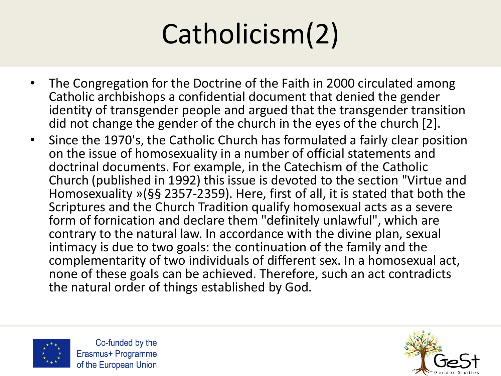# Catholicism(2)

- The Congregation for the Doctrine of the Faith in 2000 circulated among Catholic archbishops a confidential document that denied the gender identity of transgender people and argued that the transgender transition did not change the gender of the church in the eyes of the church [2].
- Since the 1970's, the Catholic Church has formulated a fairly clear position on the issue of homosexuality in a number of official statements and doctrinal documents. For example, in the Catechism of the Catholic Church (published in 1992) this issue is devoted to the section "Virtue and Homosexuality »(§§ 2357-2359). Here, first of all, it is stated that both the Scriptures and the Church Tradition qualify homosexual acts as a severe form of fornication and declare them "definitely unlawful", which are contrary to the natural law. In accordance with the divine plan, sexual intimacy is due to two goals: the continuation of the family and the complementarity of two individuals of different sex. In a homosexual act, none of these goals can be achieved. Therefore, such an act contradicts the natural order of things established by God.



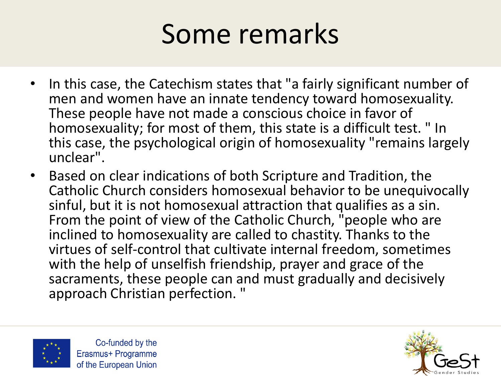#### Some remarks

- In this case, the Catechism states that "a fairly significant number of men and women have an innate tendency toward homosexuality. These people have not made a conscious choice in favor of homosexuality; for most of them, this state is a difficult test. " In this case, the psychological origin of homosexuality "remains largely unclear".
- Based on clear indications of both Scripture and Tradition, the Catholic Church considers homosexual behavior to be unequivocally sinful, but it is not homosexual attraction that qualifies as a sin. From the point of view of the Catholic Church, "people who are inclined to homosexuality are called to chastity. Thanks to the virtues of self-control that cultivate internal freedom, sometimes with the help of unselfish friendship, prayer and grace of the sacraments, these people can and must gradually and decisively approach Christian perfection. "



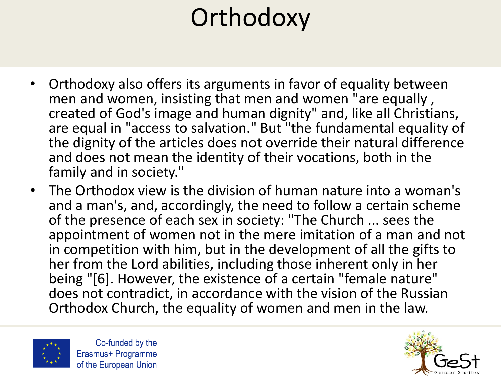#### **Orthodoxy**

- Orthodoxy also offers its arguments in favor of equality between men and women, insisting that men and women "are equally , created of God's image and human dignity" and, like all Christians, are equal in "access to salvation." But "the fundamental equality of the dignity of the articles does not override their natural difference and does not mean the identity of their vocations, both in the family and in society."
- The Orthodox view is the division of human nature into a woman's and a man's, and, accordingly, the need to follow a certain scheme of the presence of each sex in society: "The Church ... sees the appointment of women not in the mere imitation of a man and not in competition with him, but in the development of all the gifts to her from the Lord abilities, including those inherent only in her being "[6]. However, the existence of a certain "female nature" does not contradict, in accordance with the vision of the Russian Orthodox Church, the equality of women and men in the law.



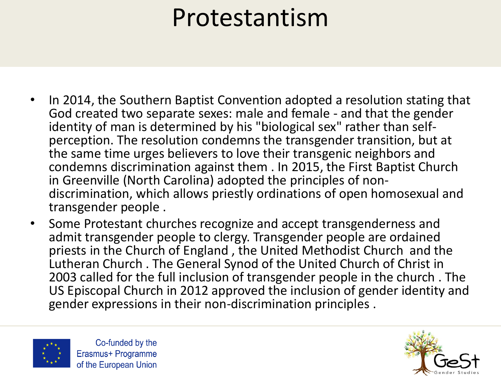#### Protestantism

- In 2014, the Southern Baptist Convention adopted a resolution stating that God created two separate sexes: male and female - and that the gender identity of man is determined by his "biological sex" rather than selfperception. The resolution condemns the transgender transition, but at the same time urges believers to love their transgenic neighbors and condemns discrimination against them . In 2015, the First Baptist Church in Greenville (North Carolina) adopted the principles of nondiscrimination, which allows priestly ordinations of open homosexual and transgender people .
- Some Protestant churches recognize and accept transgenderness and admit transgender people to clergy. Transgender people are ordained priests in the Church of England , the United Methodist Church and the Lutheran Church . The General Synod of the United Church of Christ in 2003 called for the full inclusion of transgender people in the church . The US Episcopal Church in 2012 approved the inclusion of gender identity and gender expressions in their non-discrimination principles .